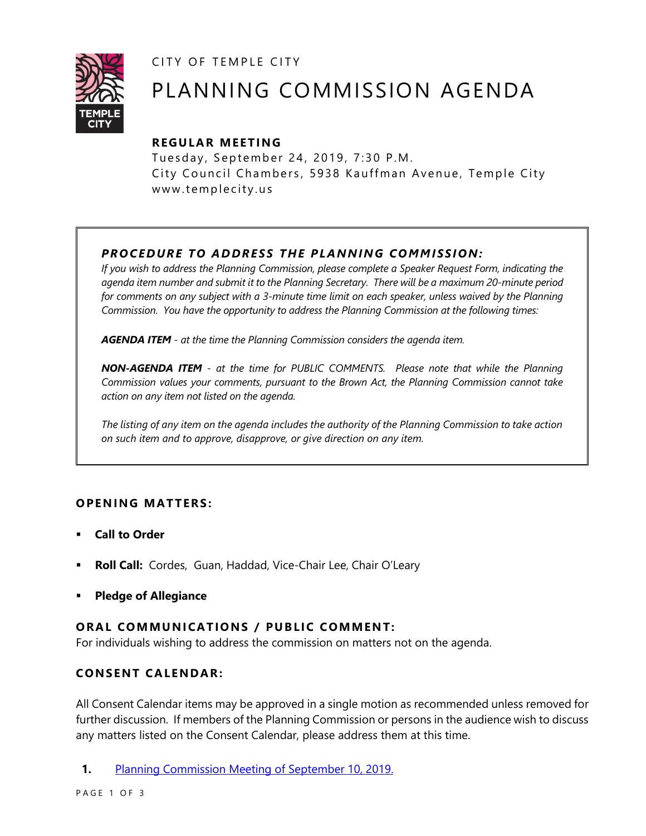CITY OF TEMPLE CITY



# PLANNING COMMISSION AGENDA

# **R EGULA R MEE TING**

Tuesday, September 24, 2019, 7:30 P.M. City Council Chambers, 5938 Kauffman Avenue, Temple City www.templecity.us

# *PRO CE DURE TO ADDRE SS THE P LANNIN G COMM I SSION:*

*If you wish to address the Planning Commission, please complete a Speaker Request Form, indicating the agenda item number and submit it to the Planning Secretary. There will be a maximum 20-minute period*  for comments on any subject with a 3-minute time limit on each speaker, unless waived by the Planning *Commission. You have the opportunity to address the Planning Commission at the following times:*

*AGENDA ITEM - at the time the Planning Commission considers the agenda item.*

*NON-AGENDA ITEM - at the time for PUBLIC COMMENTS. Please note that while the Planning Commission values your comments, pursuant to the Brown Act, the Planning Commission cannot take action on any item not listed on the agenda.*

*The listing of any item on the agenda includes the authority of the Planning Commission to take action on such item and to approve, disapprove, or give direction on any item.*

# **OPENING MATTERS:**

- **Call to Order**
- **Roll Call:** Cordes, Guan, Haddad, Vice-Chair Lee, Chair O'Leary
- **Pledge of Allegiance**

# **ORAL COMMUNICATIONS / PUBLIC COMMENT:**

For individuals wishing to address the commission on matters not on the agenda.

# **CONSENT CA LENDAR:**

All Consent Calendar items may be approved in a single motion as recommended unless removed for further discussion. If members of the Planning Commission or persons in the audience wish to discuss any matters listed on the Consent Calendar, please address them at this time.

**1.** [Planning Commission Meeting of September 10, 2019.](https://www.ci.temple-city.ca.us/DocumentCenter/View/13179/PCM-09-10-2019)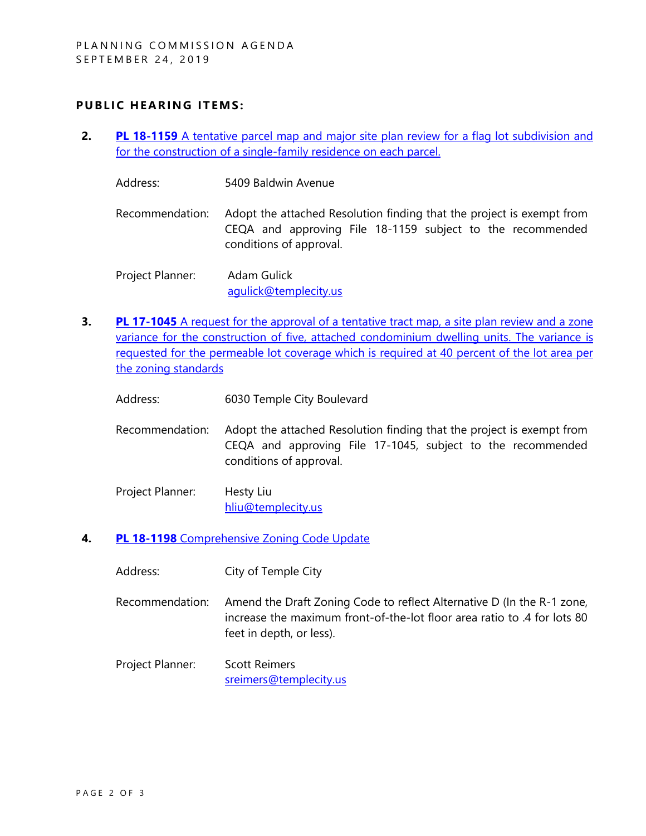## **PUBLIC HEARING ITEMS:**

- **2. PL 18-1159** [A tentative parcel map and major site plan review for a flag lot subdivision and](http://templecity.us/DocumentCenter/View/13184/PL-18-1159-5409-Baldwin-Avenue-Staff-Report-and-Attachments)  [for the construction of a single-family residence on each parcel.](http://templecity.us/DocumentCenter/View/13184/PL-18-1159-5409-Baldwin-Avenue-Staff-Report-and-Attachments)
	- Address: 5409 Baldwin Avenue
	- Recommendation: Adopt the attached Resolution finding that the project is exempt from CEQA and approving File 18-1159 subject to the recommended conditions of approval.
	- Project Planner: Adam Gulick agulick@templecity.us
- **3. PL 17-1045** A request for the approval of a tentative tract map, a site plan review and a zone [variance for the construction of five, attached condominium dwelling units. The variance is](https://www.ci.temple-city.ca.us/DocumentCenter/View/13181/PL-17-1045-6030-Temple-CIty-Attachment-2)  [requested for the permeable lot coverage which is required at 40 percent of the lot area per](https://www.ci.temple-city.ca.us/DocumentCenter/View/13181/PL-17-1045-6030-Temple-CIty-Attachment-2)  [the zoning standards](https://www.ci.temple-city.ca.us/DocumentCenter/View/13181/PL-17-1045-6030-Temple-CIty-Attachment-2)
	- Address: 6030 Temple City Boulevard
	- Recommendation: Adopt the attached Resolution finding that the project is exempt from CEQA and approving File 17-1045, subject to the recommended conditions of approval.
	- Project Planner: Hesty Liu [hliu@templecity.us](mailto:hliu@templecity.us)
- **4. PL 18-1198** [Comprehensive Zoning Code Update](https://www.ci.temple-city.ca.us/DocumentCenter/View/13182/PL-18-1198-Zoning-Code-Update--Attachment-3)
	- Address: City of Temple City
	- Recommendation: Amend the Draft Zoning Code to reflect Alternative D (In the R-1 zone, increase the maximum front-of-the-lot floor area ratio to .4 for lots 80 feet in depth, or less).
	- Project Planner: Scott Reimers [sreimers@templecity.us](mailto:sreimers@templecity.us)